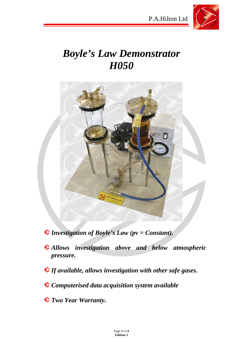



# *Boyle's Law Demonstrator H050*



- *Investigation of Boyle's Law (pv = Constant).*
- *Allows investigation above and below atmospheric pressure.*
- *If available, allows investigation with other safe gases.*
- *Computerised data acquisition system available*
- *Two Year Warranty.*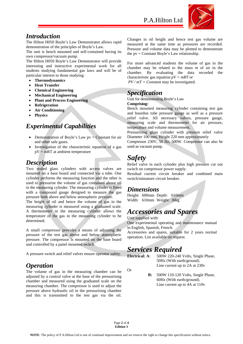

### *Introduction*

The Hilton H050 Boyle's Law Demonstrator allows rapid demonstration of the principles of Boyle's Law.

The unit is bench mounted and self-contained having its own compressor/vacuum pump.

The Hilton H050 Boyle's Law Demonstrator will provide interesting and instructive experimental work for all students studying fundamental gas laws and will be of particular interest to those studying:

- **Thermodynamics**
- **Heat Transfer**
- **Chemical Engineering**
- **Mechanical Engineering**
- **Plant and Process Engineering**
- **Refrigeration**
- **Air Conditioning**
- **Physics**

### *Experimental Capabilities*

- Demonstration of Boyle's Law  $pv = Constant$  for air and other safe gases.
- Investigation of the characteristic equation of a gas  $pV = mRT$  at ambient temperature

### *Description*

Two sealed glass cylinders with access valves are mounted on a base board and connected via a tube. One cylinder performs the measuring function and the other is used to pressurise the volume of gas contained above oil in the measuring cylinder. The measuring cylinder is fitted with a compound gauge designed to measure the gas pressure both above and below atmospheric pressure.

The height of oil and hence the volume of gas in the measuring cylinder is measured using a graduated scale. A thermometer in the measuring cylinder allows the temperature of the gas in the measuring cylinder to be determined.

A small compressor provides a means of adjusting the pressure of the test gas above and below atmospheric pressure. The compressor is mounted on the base board and controlled by a panel mounted switch.

A pressure switch and relief valves ensure operator safety.

### *Operation*

The volume of gas in the measuring chamber can be adjusted by a control valve at the base of the pressurising chamber and measured using the graduated scale on the measuring chamber. The compressor is used to adjust the pressure above hydraulic oil in the pressurising chamber and this is transmitted to the test gas via the oil.

Changes in oil height and hence test gas volume are measured at the same time as pressures are recorded. Pressure and volume data may be plotted to demonstrate the  $pv = Constant Boyle's Law relationship.$ 

For more advanced students the volume of gas in the chamber may be related to the mass *m* of air in the chamber. By evaluating the data recorded the characteristic gas equation *pV = mRT or PV / mT = Constant* may be investigated.

### *Specification*

Unit for demonstrating Boyle's Law **Comprising:** 

Bench mounted measuring cylinder containing test gas and bourdon tube pressure gauge as well as a pressure relief valve. All necessary valves, pressure gauge, measuring scale and thermometer for air pressure, temperature and volume measurement.

Pressurising glass cylinder with pressure relief valve Diameter 100 mm, Height 220 mm approximately

Compressor 230V, 50 Hz, 500W. Compressor can also be used as vacuum pump.

# *Safety*

Relief valve in each cylinder plus high pressure cut out switch on compressor power supply.

Residual current circuit breaker and combined main switch/miniature circuit breaker.

#### *Dimensions*

Height: 600mm Depth: 610mm Width: 610mm Weight: 30kg

## *Accessories and Spares*

Unit supplied with:

One experimental operating and maintenance manual in English, Spanish, French.

Accessories and spares, suitable for 2 years normal operation. List available on request.

# *Services Required*

Or

**Electrical: A**: 500W 220-240 Volts, Single Phase, 50Hz (With earth/ground). Line current up to 2A at 230v

> **B:** 500W 110-120 Volts, Single Phase, 60Hz (With earth/ground). Line current up to 4A at 110v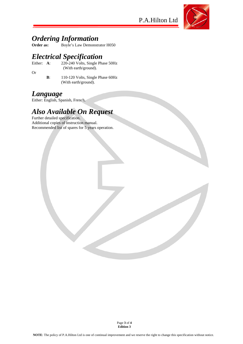P.A.Hilton Ltd



# **Ordering Information**<br>Order as: Boyle's Law Demonstr

**Order as:** Boyle's Law Demonstrator H050

# *Electrical Specification*

- Either: **A**: 220-240 Volts, Single Phase 50Hz
- Or
- (With earth/ground).
- **B**: 110-120 Volts, Single Phase 60Hz (With earth/ground).

## *Language*

Either: English, Spanish, French.

# *Also Available On Request*

Further detailed specification. Additional copies of instruction manual. Recommended list of spares for 5 years operation.